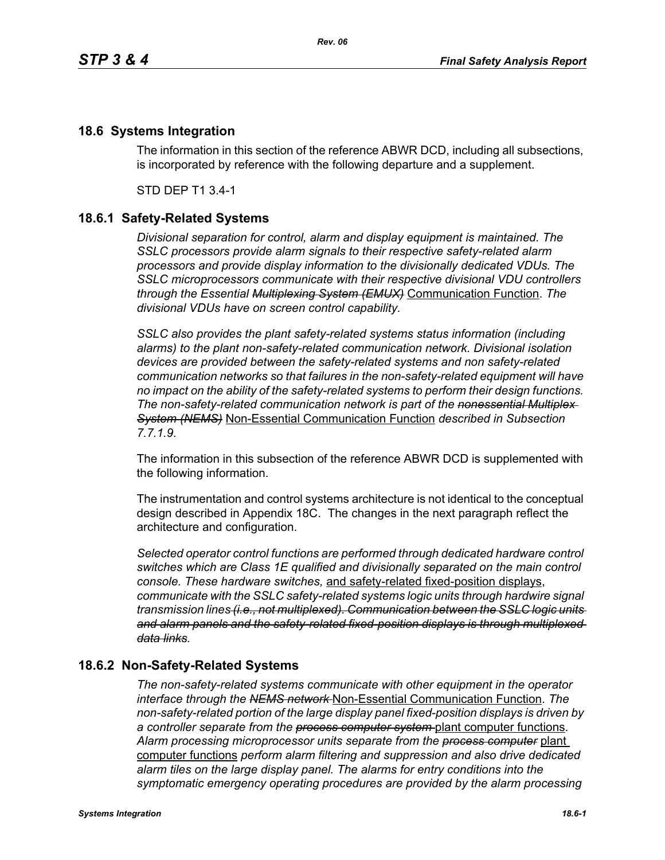## **18.6 Systems Integration**

The information in this section of the reference ABWR DCD, including all subsections, is incorporated by reference with the following departure and a supplement.

STD DEP T1 3.4-1

## **18.6.1 Safety-Related Systems**

*Divisional separation for control, alarm and display equipment is maintained. The SSLC processors provide alarm signals to their respective safety-related alarm processors and provide display information to the divisionally dedicated VDUs. The SSLC microprocessors communicate with their respective divisional VDU controllers through the Essential Multiplexing System (EMUX)* Communication Function. *The divisional VDUs have on screen control capability.*

*SSLC also provides the plant safety-related systems status information (including alarms) to the plant non-safety-related communication network. Divisional isolation devices are provided between the safety-related systems and non safety-related communication networks so that failures in the non-safety-related equipment will have no impact on the ability of the safety-related systems to perform their design functions. The non-safety-related communication network is part of the nonessential Multiplex System (NEMS)* Non-Essential Communication Function *described in Subsection 7.7.1.9.*

The information in this subsection of the reference ABWR DCD is supplemented with the following information.

The instrumentation and control systems architecture is not identical to the conceptual design described in Appendix 18C. The changes in the next paragraph reflect the architecture and configuration.

*Selected operator control functions are performed through dedicated hardware control switches which are Class 1E qualified and divisionally separated on the main control console. These hardware switches,* and safety-related fixed-position displays, *communicate with the SSLC safety-related systems logic units through hardwire signal transmission lines (i.e., not multiplexed). Communication between the SSLC logic units and alarm panels and the safety-related fixed-position displays is through multiplexed data links.*

## **18.6.2 Non-Safety-Related Systems**

*The non-safety-related systems communicate with other equipment in the operator interface through the NEMS network* Non-Essential Communication Function. *The non-safety-related portion of the large display panel fixed-position displays is driven by a controller separate from the process computer system* plant computer functions. *Alarm processing microprocessor units separate from the process computer* plant computer functions *perform alarm filtering and suppression and also drive dedicated alarm tiles on the large display panel. The alarms for entry conditions into the symptomatic emergency operating procedures are provided by the alarm processing*